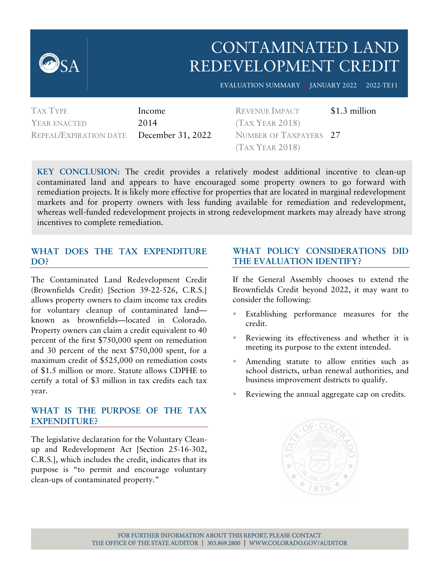

## CONTAMINATED LAND REDEVELOPMENT CREDIT

EVALUATION SUMMARY **|** JANUARY 2022 **|** 2022-TE11

TAX TYPE Income YEAR ENACTED 2014 REPEAL/EXPIRATION DATE December 31, 2022

REVENUE IMPACT \$1.3 million (TAX YEAR 2018) NUMBER OF TAXPAYERS 27 (TAX YEAR 2018)

**KEY CONCLUSION:** The credit provides a relatively modest additional incentive to clean-up contaminated land and appears to have encouraged some property owners to go forward with remediation projects. It is likely more effective for properties that are located in marginal redevelopment markets and for property owners with less funding available for remediation and redevelopment, whereas well-funded redevelopment projects in strong redevelopment markets may already have strong incentives to complete remediation.

#### **WHAT DOES THE TAX EXPENDITURE DO?**

The Contaminated Land Redevelopment Credit (Brownfields Credit) [Section 39-22-526, C.R.S.] allows property owners to claim income tax credits for voluntary cleanup of contaminated land known as brownfields—located in Colorado. Property owners can claim a credit equivalent to 40 percent of the first \$750,000 spent on remediation and 30 percent of the next \$750,000 spent, for a maximum credit of \$525,000 on remediation costs of \$1.5 million or more. Statute allows CDPHE to certify a total of \$3 million in tax credits each tax year.

#### **WHAT IS THE PURPOSE OF THE TAX EXPENDITURE?**

The legislative declaration for the Voluntary Cleanup and Redevelopment Act [Section 25-16-302, C.R.S.], which includes the credit, indicates that its purpose is "to permit and encourage voluntary clean-ups of contaminated property."

#### **WHAT POLICY CONSIDERATIONS DID THE EVALUATION IDENTIFY?**

If the General Assembly chooses to extend the Brownfields Credit beyond 2022, it may want to consider the following:

- Establishing performance measures for the credit.
- Reviewing its effectiveness and whether it is meeting its purpose to the extent intended.
- Amending statute to allow entities such as school districts, urban renewal authorities, and business improvement districts to qualify.
- Reviewing the annual aggregate cap on credits.

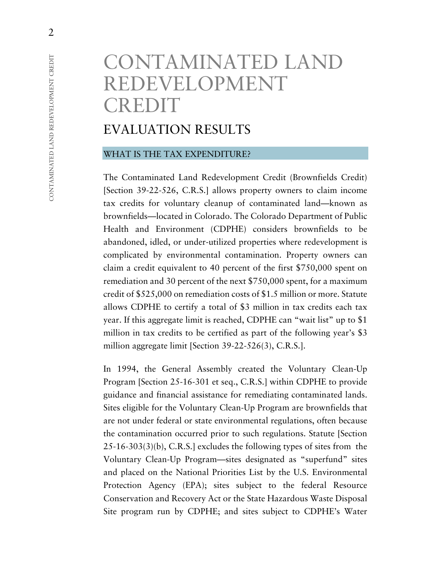# CONTAMINATED LAND REDEVELOPMENT CREDIT

## EVALUATION RESULTS

#### WHAT IS THE TAX EXPENDITURE?

The Contaminated Land Redevelopment Credit (Brownfields Credit) [Section 39-22-526, C.R.S.] allows property owners to claim income tax credits for voluntary cleanup of contaminated land—known as brownfields—located in Colorado. The Colorado Department of Public Health and Environment (CDPHE) considers brownfields to be abandoned, idled, or under-utilized properties where redevelopment is complicated by environmental contamination. Property owners can claim a credit equivalent to 40 percent of the first \$750,000 spent on remediation and 30 percent of the next \$750,000 spent, for a maximum credit of \$525,000 on remediation costs of \$1.5 million or more. Statute allows CDPHE to certify a total of \$3 million in tax credits each tax year. If this aggregate limit is reached, CDPHE can "wait list" up to \$1 million in tax credits to be certified as part of the following year's \$3 million aggregate limit [Section 39-22-526(3), C.R.S.].

In 1994, the General Assembly created the Voluntary Clean-Up Program [Section 25-16-301 et seq., C.R.S.] within CDPHE to provide guidance and financial assistance for remediating contaminated lands. Sites eligible for the Voluntary Clean-Up Program are brownfields that are not under federal or state environmental regulations, often because the contamination occurred prior to such regulations. Statute [Section 25-16-303(3)(b), C.R.S.] excludes the following types of sites from the Voluntary Clean-Up Program—sites designated as "superfund" sites and placed on the National Priorities List by the U.S. Environmental Protection Agency (EPA); sites subject to the federal Resource Conservation and Recovery Act or the State Hazardous Waste Disposal Site program run by CDPHE; and sites subject to CDPHE's Water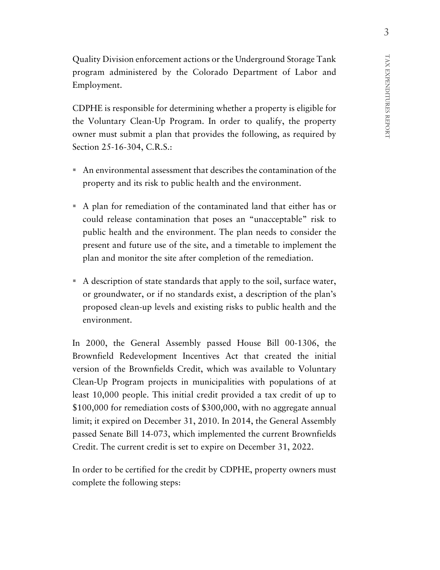Quality Division enforcement actions or the Underground Storage Tank program administered by the Colorado Department of Labor and Employment.

CDPHE is responsible for determining whether a property is eligible for the Voluntary Clean-Up Program. In order to qualify, the property owner must submit a plan that provides the following, as required by Section 25-16-304, C.R.S.:

- An environmental assessment that describes the contamination of the property and its risk to public health and the environment.
- A plan for remediation of the contaminated land that either has or could release contamination that poses an "unacceptable" risk to public health and the environment. The plan needs to consider the present and future use of the site, and a timetable to implement the plan and monitor the site after completion of the remediation.
- A description of state standards that apply to the soil, surface water, or groundwater, or if no standards exist, a description of the plan's proposed clean-up levels and existing risks to public health and the environment.

In 2000, the General Assembly passed House Bill 00-1306, the Brownfield Redevelopment Incentives Act that created the initial version of the Brownfields Credit, which was available to Voluntary Clean-Up Program projects in municipalities with populations of at least 10,000 people. This initial credit provided a tax credit of up to \$100,000 for remediation costs of \$300,000, with no aggregate annual limit; it expired on December 31, 2010. In 2014, the General Assembly passed Senate Bill 14-073, which implemented the current Brownfields Credit. The current credit is set to expire on December 31, 2022.

In order to be certified for the credit by CDPHE, property owners must complete the following steps: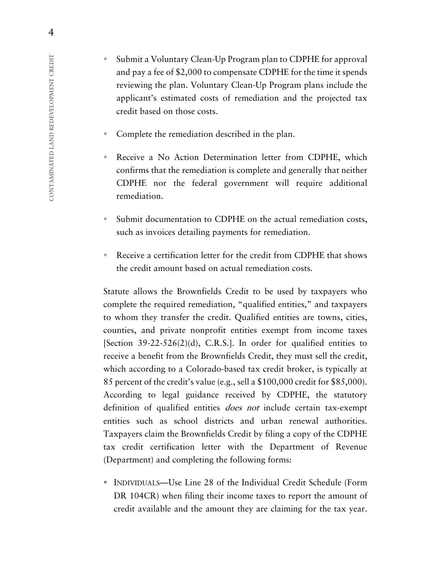- Submit a Voluntary Clean-Up Program plan to CDPHE for approval and pay a fee of \$2,000 to compensate CDPHE for the time it spends reviewing the plan. Voluntary Clean-Up Program plans include the applicant's estimated costs of remediation and the projected tax credit based on those costs.
- **Complete the remediation described in the plan.**
- Receive a No Action Determination letter from CDPHE, which confirms that the remediation is complete and generally that neither CDPHE nor the federal government will require additional remediation.
- Submit documentation to CDPHE on the actual remediation costs, such as invoices detailing payments for remediation.
- Receive a certification letter for the credit from CDPHE that shows the credit amount based on actual remediation costs.

Statute allows the Brownfields Credit to be used by taxpayers who complete the required remediation, "qualified entities," and taxpayers to whom they transfer the credit. Qualified entities are towns, cities, counties, and private nonprofit entities exempt from income taxes [Section  $39-22-526(2)(d)$ , C.R.S.]. In order for qualified entities to receive a benefit from the Brownfields Credit, they must sell the credit, which according to a Colorado-based tax credit broker, is typically at 85 percent of the credit's value (e.g., sell a \$100,000 credit for \$85,000). According to legal guidance received by CDPHE, the statutory definition of qualified entities *does not* include certain tax-exempt entities such as school districts and urban renewal authorities. Taxpayers claim the Brownfields Credit by filing a copy of the CDPHE tax credit certification letter with the Department of Revenue (Department) and completing the following forms:

 INDIVIDUALS—Use Line 28 of the Individual Credit Schedule (Form DR 104CR) when filing their income taxes to report the amount of credit available and the amount they are claiming for the tax year.

4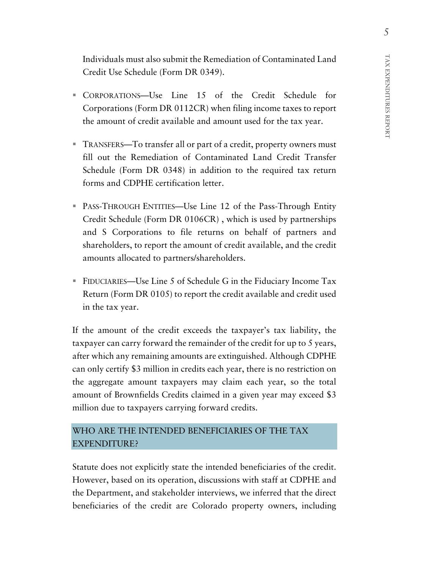Individuals must also submit the Remediation of Contaminated Land Credit Use Schedule (Form DR 0349).

- CORPORATIONS—Use Line 15 of the Credit Schedule for Corporations (Form DR 0112CR) when filing income taxes to report the amount of credit available and amount used for the tax year.
- TRANSFERS—To transfer all or part of a credit, property owners must fill out the Remediation of Contaminated Land Credit Transfer Schedule (Form DR 0348) in addition to the required tax return forms and CDPHE certification letter.
- PASS-THROUGH ENTITIES—Use Line 12 of the Pass-Through Entity Credit Schedule (Form DR 0106CR) , which is used by partnerships and S Corporations to file returns on behalf of partners and shareholders, to report the amount of credit available, and the credit amounts allocated to partners/shareholders.
- FIDUCIARIES—Use Line 5 of Schedule G in the Fiduciary Income Tax Return (Form DR 0105) to report the credit available and credit used in the tax year.

If the amount of the credit exceeds the taxpayer's tax liability, the taxpayer can carry forward the remainder of the credit for up to 5 years, after which any remaining amounts are extinguished. Although CDPHE can only certify \$3 million in credits each year, there is no restriction on the aggregate amount taxpayers may claim each year, so the total amount of Brownfields Credits claimed in a given year may exceed \$3 million due to taxpayers carrying forward credits.

### WHO ARE THE INTENDED BENEFICIARIES OF THE TAX EXPENDITURE?

Statute does not explicitly state the intended beneficiaries of the credit. However, based on its operation, discussions with staff at CDPHE and the Department, and stakeholder interviews, we inferred that the direct beneficiaries of the credit are Colorado property owners, including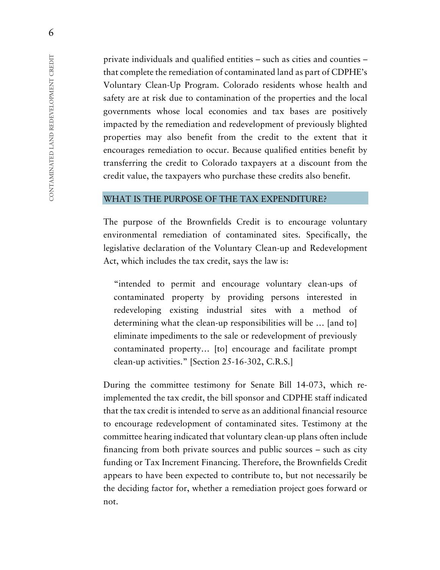private individuals and qualified entities – such as cities and counties – that complete the remediation of contaminated land as part of CDPHE's Voluntary Clean-Up Program. Colorado residents whose health and safety are at risk due to contamination of the properties and the local governments whose local economies and tax bases are positively impacted by the remediation and redevelopment of previously blighted properties may also benefit from the credit to the extent that it encourages remediation to occur. Because qualified entities benefit by transferring the credit to Colorado taxpayers at a discount from the credit value, the taxpayers who purchase these credits also benefit.

#### WHAT IS THE PURPOSE OF THE TAX EXPENDITURE?

The purpose of the Brownfields Credit is to encourage voluntary environmental remediation of contaminated sites. Specifically, the legislative declaration of the Voluntary Clean-up and Redevelopment Act, which includes the tax credit, says the law is:

"intended to permit and encourage voluntary clean-ups of contaminated property by providing persons interested in redeveloping existing industrial sites with a method of determining what the clean-up responsibilities will be … [and to] eliminate impediments to the sale or redevelopment of previously contaminated property… [to] encourage and facilitate prompt clean-up activities." [Section 25-16-302, C.R.S.]

During the committee testimony for Senate Bill 14-073, which reimplemented the tax credit, the bill sponsor and CDPHE staff indicated that the tax credit is intended to serve as an additional financial resource to encourage redevelopment of contaminated sites. Testimony at the committee hearing indicated that voluntary clean-up plans often include financing from both private sources and public sources – such as city funding or Tax Increment Financing. Therefore, the Brownfields Credit appears to have been expected to contribute to, but not necessarily be the deciding factor for, whether a remediation project goes forward or not.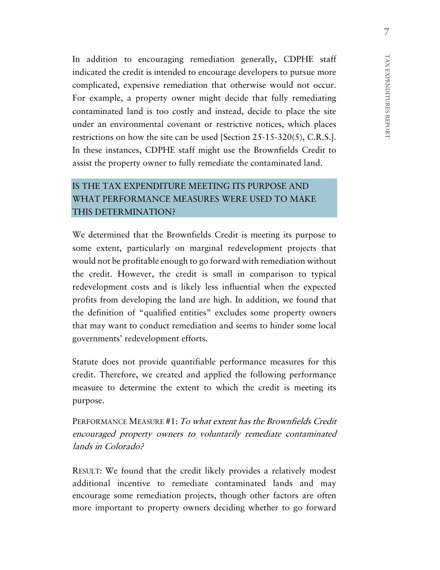In addition to encouraging remediation generally, CDPHE staff indicated the credit is intended to encourage developers to pursue more complicated, expensive remediation that otherwise would not occur. For example, a property owner might decide that fully remediating contaminated land is too costly and instead, decide to place the site under an environmental covenant or restrictive notices, which places restrictions on how the site can be used [Section 25-15-320(5), C.R.S.]. In these instances, CDPHE staff might use the Brownfields Credit to assist the property owner to fully remediate the contaminated land.

## IS THE TAX EXPENDITURE MEETING ITS PURPOSE AND WHAT PERFORMANCE MEASURES WERE USED TO MAKE THIS DETERMINATION?

We determined that the Brownfields Credit is meeting its purpose to some extent, particularly on marginal redevelopment projects that would not be profitable enough to go forward with remediation without the credit. However, the credit is small in comparison to typical redevelopment costs and is likely less influential when the expected profits from developing the land are high. In addition, we found that the definition of "qualified entities" excludes some property owners that may want to conduct remediation and seems to hinder some local governments' redevelopment efforts.

Statute does not provide quantifiable performance measures for this credit. Therefore, we created and applied the following performance measure to determine the extent to which the credit is meeting its purpose.

PERFORMANCE MEASURE #1: To what extent has the Brownfields Credit encouraged property owners to voluntarily remediate contaminated lands in Colorado?

RESULT: We found that the credit likely provides a relatively modest additional incentive to remediate contaminated lands and may encourage some remediation projects, though other factors are often more important to property owners deciding whether to go forward

7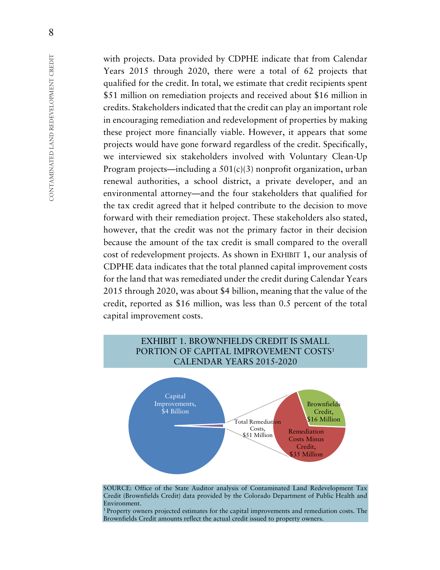with projects. Data provided by CDPHE indicate that from Calendar Years 2015 through 2020, there were a total of 62 projects that qualified for the credit. In total, we estimate that credit recipients spent \$51 million on remediation projects and received about \$16 million in credits. Stakeholders indicated that the credit can play an important role in encouraging remediation and redevelopment of properties by making these project more financially viable. However, it appears that some projects would have gone forward regardless of the credit. Specifically, we interviewed six stakeholders involved with Voluntary Clean-Up Program projects—including a  $501(c)(3)$  nonprofit organization, urban renewal authorities, a school district, a private developer, and an environmental attorney—and the four stakeholders that qualified for the tax credit agreed that it helped contribute to the decision to move forward with their remediation project. These stakeholders also stated, however, that the credit was not the primary factor in their decision because the amount of the tax credit is small compared to the overall cost of redevelopment projects. As shown in EXHIBIT 1, our analysis of CDPHE data indicates that the total planned capital improvement costs for the land that was remediated under the credit during Calendar Years 2015 through 2020, was about \$4 billion, meaning that the value of the credit, reported as \$16 million, was less than 0.5 percent of the total capital improvement costs.



SOURCE: Office of the State Auditor analysis of Contaminated Land Redevelopment Tax Credit (Brownfields Credit) data provided by the Colorado Department of Public Health and Environment.

1 Property owners projected estimates for the capital improvements and remediation costs. The Brownfields Credit amounts reflect the actual credit issued to property owners.

8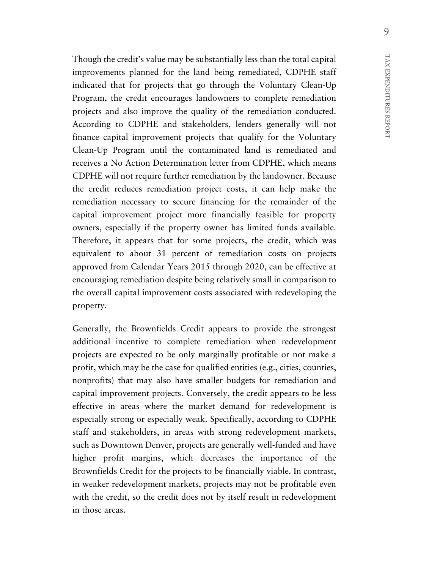9

Though the credit's value may be substantially less than the total capital improvements planned for the land being remediated, CDPHE staff indicated that for projects that go through the Voluntary Clean-Up Program, the credit encourages landowners to complete remediation projects and also improve the quality of the remediation conducted. According to CDPHE and stakeholders, lenders generally will not finance capital improvement projects that qualify for the Voluntary Clean-Up Program until the contaminated land is remediated and receives a No Action Determination letter from CDPHE, which means CDPHE will not require further remediation by the landowner. Because the credit reduces remediation project costs, it can help make the remediation necessary to secure financing for the remainder of the capital improvement project more financially feasible for property owners, especially if the property owner has limited funds available. Therefore, it appears that for some projects, the credit, which was equivalent to about 31 percent of remediation costs on projects approved from Calendar Years 2015 through 2020, can be effective at encouraging remediation despite being relatively small in comparison to the overall capital improvement costs associated with redeveloping the property.

Generally, the Brownfields Credit appears to provide the strongest additional incentive to complete remediation when redevelopment projects are expected to be only marginally profitable or not make a profit, which may be the case for qualified entities (e.g., cities, counties, nonprofits) that may also have smaller budgets for remediation and capital improvement projects. Conversely, the credit appears to be less effective in areas where the market demand for redevelopment is especially strong or especially weak. Specifically, according to CDPHE staff and stakeholders, in areas with strong redevelopment markets, such as Downtown Denver, projects are generally well-funded and have higher profit margins, which decreases the importance of the Brownfields Credit for the projects to be financially viable. In contrast, in weaker redevelopment markets, projects may not be profitable even with the credit, so the credit does not by itself result in redevelopment in those areas.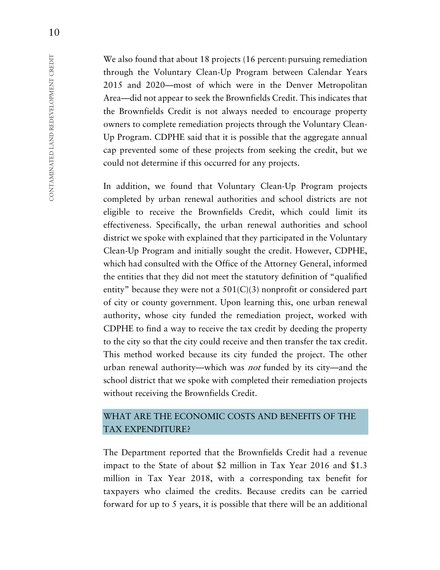We also found that about 18 projects (16 percent) pursuing remediation through the Voluntary Clean-Up Program between Calendar Years 2015 and 2020—most of which were in the Denver Metropolitan Area—did not appear to seek the Brownfields Credit. This indicates that the Brownfields Credit is not always needed to encourage property owners to complete remediation projects through the Voluntary Clean-Up Program. CDPHE said that it is possible that the aggregate annual cap prevented some of these projects from seeking the credit, but we could not determine if this occurred for any projects.

In addition, we found that Voluntary Clean-Up Program projects completed by urban renewal authorities and school districts are not eligible to receive the Brownfields Credit, which could limit its effectiveness. Specifically, the urban renewal authorities and school district we spoke with explained that they participated in the Voluntary Clean-Up Program and initially sought the credit. However, CDPHE, which had consulted with the Office of the Attorney General, informed the entities that they did not meet the statutory definition of "qualified entity" because they were not a 501(C)(3) nonprofit or considered part of city or county government. Upon learning this, one urban renewal authority, whose city funded the remediation project, worked with CDPHE to find a way to receive the tax credit by deeding the property to the city so that the city could receive and then transfer the tax credit. This method worked because its city funded the project. The other urban renewal authority—which was not funded by its city—and the school district that we spoke with completed their remediation projects without receiving the Brownfields Credit.

#### WHAT ARE THE ECONOMIC COSTS AND BENEFITS OF THE TAX EXPENDITURE?

The Department reported that the Brownfields Credit had a revenue impact to the State of about \$2 million in Tax Year 2016 and \$1.3 million in Tax Year 2018, with a corresponding tax benefit for taxpayers who claimed the credits. Because credits can be carried forward for up to 5 years, it is possible that there will be an additional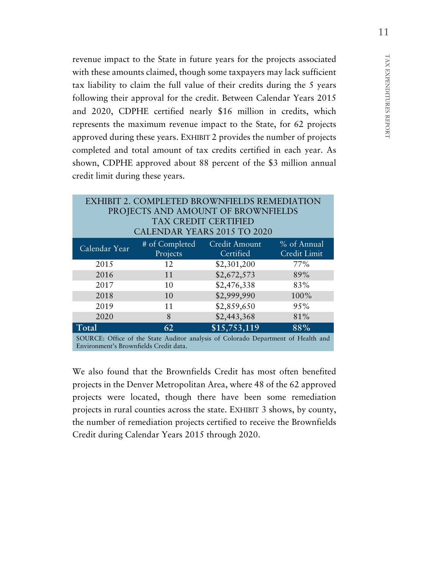revenue impact to the State in future years for the projects associated with these amounts claimed, though some taxpayers may lack sufficient tax liability to claim the full value of their credits during the 5 years following their approval for the credit. Between Calendar Years 2015 and 2020, CDPHE certified nearly \$16 million in credits, which represents the maximum revenue impact to the State, for 62 projects approved during these years. EXHIBIT 2 provides the number of projects completed and total amount of tax credits certified in each year. As shown, CDPHE approved about 88 percent of the \$3 million annual credit limit during these years.

| <b>EXHIBIT 2. COMPLETED BROWNFIELDS REMEDIATION</b><br>PROJECTS AND AMOUNT OF BROWNFIELDS<br><b>TAX CREDIT CERTIFIED</b><br>CALENDAR YEARS 2015 TO 2020 |                              |                            |                             |  |  |
|---------------------------------------------------------------------------------------------------------------------------------------------------------|------------------------------|----------------------------|-----------------------------|--|--|
| Calendar Year                                                                                                                                           | $#$ of Completed<br>Projects | Credit Amount<br>Certified | % of Annual<br>Credit Limit |  |  |
| 2015                                                                                                                                                    | 12                           | \$2,301,200                | 77%                         |  |  |
| 2016                                                                                                                                                    | 11                           | \$2,672,573                | 89%                         |  |  |
| 2017                                                                                                                                                    | 10                           | \$2,476,338                | 83%                         |  |  |
| 2018                                                                                                                                                    | 10                           | \$2,999,990                | 100%                        |  |  |
| 2019                                                                                                                                                    | 11                           | \$2,859,650                | 95%                         |  |  |
| 2020                                                                                                                                                    | 8                            | \$2,443,368                | 81%                         |  |  |
| Total                                                                                                                                                   | 62                           | \$15,753,119               | 88%                         |  |  |
| SOURCE: Office of the State Auditor analysis of Colorado Department of Health and                                                                       |                              |                            |                             |  |  |

SOURCE: Office of the State Auditor analysis of Colorado Department of Health and Environment's Brownfields Credit data.

We also found that the Brownfields Credit has most often benefited projects in the Denver Metropolitan Area, where 48 of the 62 approved projects were located, though there have been some remediation projects in rural counties across the state. EXHIBIT 3 shows, by county, the number of remediation projects certified to receive the Brownfields Credit during Calendar Years 2015 through 2020.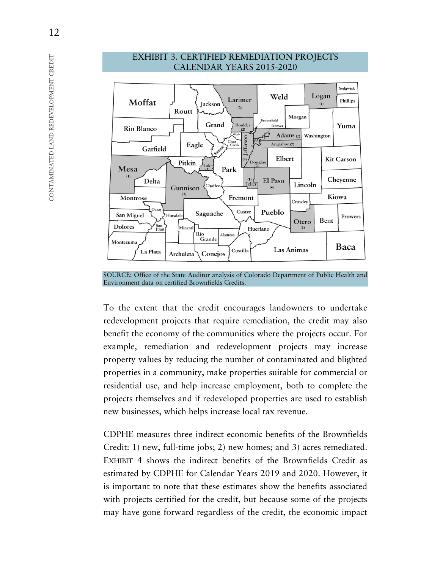

#### EXHIBIT 3. CERTIFIED REMEDIATION PROJECTS CALENDAR YEARS 2015-2020

SOURCE: Office of the State Auditor analysis of Colorado Department of Public Health and Environment data on certified Brownfields Credits.

To the extent that the credit encourages landowners to undertake redevelopment projects that require remediation, the credit may also benefit the economy of the communities where the projects occur. For example, remediation and redevelopment projects may increase property values by reducing the number of contaminated and blighted properties in a community, make properties suitable for commercial or residential use, and help increase employment, both to complete the projects themselves and if redeveloped properties are used to establish new businesses, which helps increase local tax revenue.

CDPHE measures three indirect economic benefits of the Brownfields Credit: 1) new, full-time jobs; 2) new homes; and 3) acres remediated. EXHIBIT 4 shows the indirect benefits of the Brownfields Credit as estimated by CDPHE for Calendar Years 2019 and 2020. However, it is important to note that these estimates show the benefits associated with projects certified for the credit, but because some of the projects may have gone forward regardless of the credit, the economic impact

CONTAMINATED LAND REDEVELOPMENT CREDIT

CONTAMINATED LAND REDEVELOPMENT CREDIT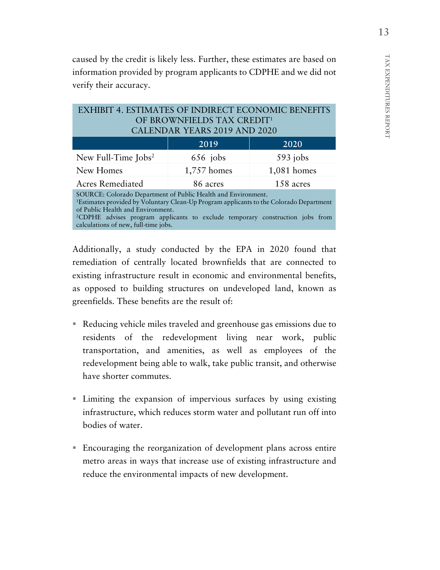caused by the credit is likely less. Further, these estimates are based on information provided by program applicants to CDPHE and we did not verify their accuracy.

#### EXHIBIT 4. ESTIMATES OF INDIRECT ECONOMIC BENEFITS OF BROWNFIELDS TAX CREDIT1 CALENDAR YEARS 2019 AND 2020

|                                                              | 2019'                 | 2020        |  |  |  |
|--------------------------------------------------------------|-----------------------|-------------|--|--|--|
| New Full-Time $\text{Jobs}^2$                                | $656$ jobs            | $593$ jobs  |  |  |  |
| New Homes                                                    | 1,757 homes           | 1,081 homes |  |  |  |
| <b>Acres Remediated</b>                                      | 158 acres<br>86 acres |             |  |  |  |
| SOURCE: Colorado Department of Public Health and Environment |                       |             |  |  |  |

Colorado Department of Public Health and Environment. 1Estimates provided by Voluntary Clean-Up Program applicants to the Colorado Department of Public Health and Environment. 2CDPHE advises program applicants to exclude temporary construction jobs from

calculations of new, full-time jobs.

Additionally, a study conducted by the EPA in 2020 found that remediation of centrally located brownfields that are connected to existing infrastructure result in economic and environmental benefits, as opposed to building structures on undeveloped land, known as greenfields. These benefits are the result of:

- Reducing vehicle miles traveled and greenhouse gas emissions due to residents of the redevelopment living near work, public transportation, and amenities, as well as employees of the redevelopment being able to walk, take public transit, and otherwise have shorter commutes.
- Limiting the expansion of impervious surfaces by using existing infrastructure, which reduces storm water and pollutant run off into bodies of water.
- Encouraging the reorganization of development plans across entire metro areas in ways that increase use of existing infrastructure and reduce the environmental impacts of new development.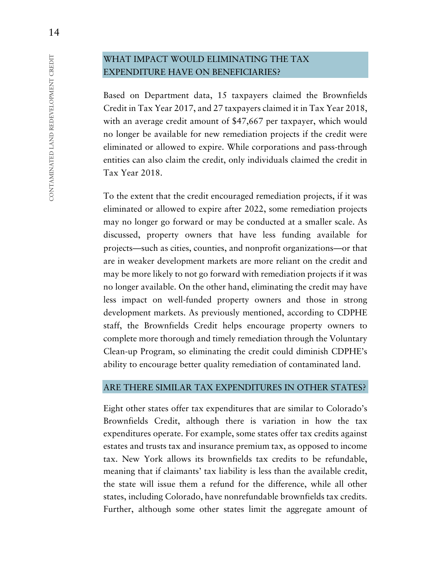#### WHAT IMPACT WOULD ELIMINATING THE TAX EXPENDITURE HAVE ON BENEFICIARIES?

Based on Department data, 15 taxpayers claimed the Brownfields Credit in Tax Year 2017, and 27 taxpayers claimed it in Tax Year 2018, with an average credit amount of \$47,667 per taxpayer, which would no longer be available for new remediation projects if the credit were eliminated or allowed to expire. While corporations and pass-through entities can also claim the credit, only individuals claimed the credit in Tax Year 2018.

To the extent that the credit encouraged remediation projects, if it was eliminated or allowed to expire after 2022, some remediation projects may no longer go forward or may be conducted at a smaller scale. As discussed, property owners that have less funding available for projects—such as cities, counties, and nonprofit organizations—or that are in weaker development markets are more reliant on the credit and may be more likely to not go forward with remediation projects if it was no longer available. On the other hand, eliminating the credit may have less impact on well-funded property owners and those in strong development markets. As previously mentioned, according to CDPHE staff, the Brownfields Credit helps encourage property owners to complete more thorough and timely remediation through the Voluntary Clean-up Program, so eliminating the credit could diminish CDPHE's ability to encourage better quality remediation of contaminated land.

#### ARE THERE SIMILAR TAX EXPENDITURES IN OTHER STATES?

Eight other states offer tax expenditures that are similar to Colorado's Brownfields Credit, although there is variation in how the tax expenditures operate. For example, some states offer tax credits against estates and trusts tax and insurance premium tax, as opposed to income tax. New York allows its brownfields tax credits to be refundable, meaning that if claimants' tax liability is less than the available credit, the state will issue them a refund for the difference, while all other states, including Colorado, have nonrefundable brownfields tax credits. Further, although some other states limit the aggregate amount of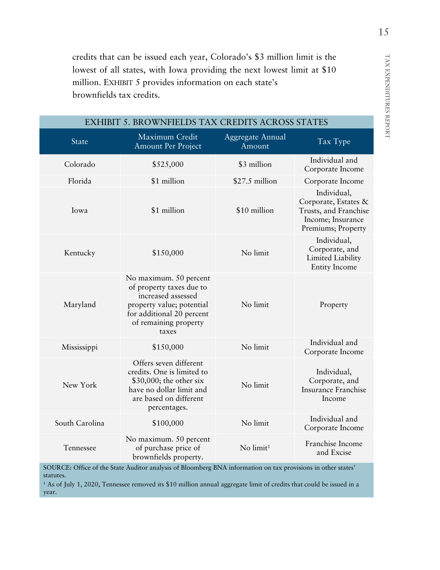TAX EXPENDITURES REPORT TAX EXPENDITURES REPORT

credits that can be issued each year, Colorado's \$3 million limit is the lowest of all states, with Iowa providing the next lowest limit at \$10 million. EXHIBIT 5 provides information on each state's brownfields tax credits.

| <b>EXHIBIT 5. BROWNFIELDS TAX CREDITS ACROSS STATES</b> |                                                                                                                                                                      |                            |                                                                                                         |  |  |
|---------------------------------------------------------|----------------------------------------------------------------------------------------------------------------------------------------------------------------------|----------------------------|---------------------------------------------------------------------------------------------------------|--|--|
| State                                                   | Maximum Credit<br>Amount Per Project                                                                                                                                 | Aggregate Annual<br>Amount | Tax Type                                                                                                |  |  |
| Colorado                                                | \$525,000                                                                                                                                                            | \$3 million                | Individual and<br>Corporate Income                                                                      |  |  |
| Florida                                                 | \$1 million                                                                                                                                                          | \$27.5 million             | Corporate Income                                                                                        |  |  |
| Iowa                                                    | \$1 million                                                                                                                                                          | \$10 million               | Individual,<br>Corporate, Estates &<br>Trusts, and Franchise<br>Income; Insurance<br>Premiums; Property |  |  |
| Kentucky                                                | \$150,000                                                                                                                                                            | No limit                   | Individual,<br>Corporate, and<br>Limited Liability<br><b>Entity Income</b>                              |  |  |
| Maryland                                                | No maximum. 50 percent<br>of property taxes due to<br>increased assessed<br>property value; potential<br>for additional 20 percent<br>of remaining property<br>taxes | No limit                   | Property                                                                                                |  |  |
| Mississippi                                             | \$150,000                                                                                                                                                            | No limit                   | Individual and<br>Corporate Income                                                                      |  |  |
| New York                                                | Offers seven different<br>credits. One is limited to<br>\$30,000; the other six<br>have no dollar limit and<br>are based on different<br>percentages.                | No limit                   | Individual,<br>Corporate, and<br><b>Insurance Franchise</b><br>Income                                   |  |  |
| South Carolina                                          | \$100,000                                                                                                                                                            | No limit                   | Individual and<br>Corporate Income                                                                      |  |  |
| Tennessee                                               | No maximum. 50 percent<br>of purchase price of<br>brownfields property.                                                                                              | No limit <sup>1</sup>      | Franchise Income<br>and Excise                                                                          |  |  |

SOURCE: Office of the State Auditor analysis of Bloomberg BNA information on tax provisions in other states' statutes.

<sup>1</sup> As of July 1, 2020, Tennessee removed its \$10 million annual aggregate limit of credits that could be issued in a year.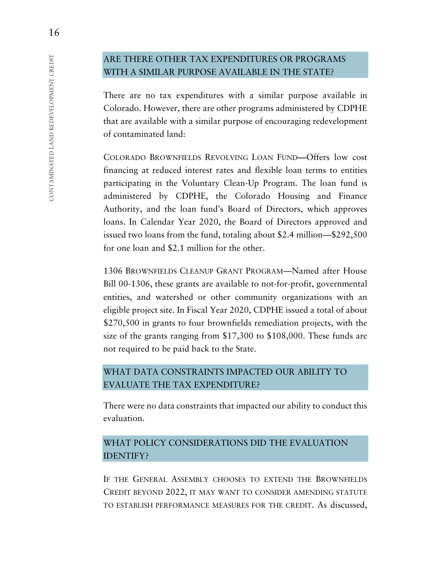## ARE THERE OTHER TAX EXPENDITURES OR PROGRAMS WITH A SIMILAR PURPOSE AVAILABLE IN THE STATE?

There are no tax expenditures with a similar purpose available in Colorado. However, there are other programs administered by CDPHE that are available with a similar purpose of encouraging redevelopment of contaminated land:

COLORADO BROWNFIELDS REVOLVING LOAN FUND**—**Offers low cost financing at reduced interest rates and flexible loan terms to entities participating in the Voluntary Clean-Up Program. The loan fund is administered by CDPHE, the Colorado Housing and Finance Authority, and the loan fund's Board of Directors, which approves loans. In Calendar Year 2020, the Board of Directors approved and issued two loans from the fund, totaling about \$2.4 million—\$292,500 for one loan and \$2.1 million for the other.

1306 BROWNFIELDS CLEANUP GRANT PROGRAM—Named after House Bill 00-1306, these grants are available to not-for-profit, governmental entities, and watershed or other community organizations with an eligible project site. In Fiscal Year 2020, CDPHE issued a total of about \$270,500 in grants to four brownfields remediation projects, with the size of the grants ranging from \$17,300 to \$108,000. These funds are not required to be paid back to the State.

## WHAT DATA CONSTRAINTS IMPACTED OUR ABILITY TO EVALUATE THE TAX EXPENDITURE?

There were no data constraints that impacted our ability to conduct this evaluation.

## WHAT POLICY CONSIDERATIONS DID THE EVALUATION IDENTIFY?

IF THE GENERAL ASSEMBLY CHOOSES TO EXTEND THE BROWNFIELDS CREDIT BEYOND 2022, IT MAY WANT TO CONSIDER AMENDING STATUTE TO ESTABLISH PERFORMANCE MEASURES FOR THE CREDIT. As discussed,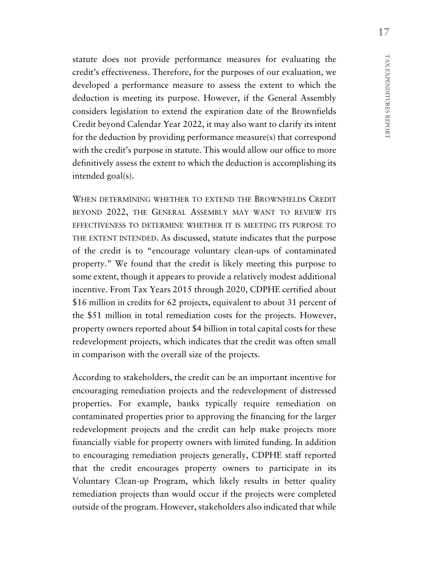statute does not provide performance measures for evaluating the credit's effectiveness. Therefore, for the purposes of our evaluation, we developed a performance measure to assess the extent to which the deduction is meeting its purpose. However, if the General Assembly considers legislation to extend the expiration date of the Brownfields Credit beyond Calendar Year 2022, it may also want to clarify its intent for the deduction by providing performance measure(s) that correspond with the credit's purpose in statute. This would allow our office to more definitively assess the extent to which the deduction is accomplishing its intended goal(s).

WHEN DETERMINING WHETHER TO EXTEND THE BROWNFIELDS CREDIT BEYOND 2022, THE GENERAL ASSEMBLY MAY WANT TO REVIEW ITS EFFECTIVENESS TO DETERMINE WHETHER IT IS MEETING ITS PURPOSE TO THE EXTENT INTENDED. As discussed, statute indicates that the purpose of the credit is to "encourage voluntary clean-ups of contaminated property." We found that the credit is likely meeting this purpose to some extent, though it appears to provide a relatively modest additional incentive. From Tax Years 2015 through 2020, CDPHE certified about \$16 million in credits for 62 projects, equivalent to about 31 percent of the \$51 million in total remediation costs for the projects. However, property owners reported about \$4 billion in total capital costs for these redevelopment projects, which indicates that the credit was often small in comparison with the overall size of the projects.

According to stakeholders, the credit can be an important incentive for encouraging remediation projects and the redevelopment of distressed properties. For example, banks typically require remediation on contaminated properties prior to approving the financing for the larger redevelopment projects and the credit can help make projects more financially viable for property owners with limited funding. In addition to encouraging remediation projects generally, CDPHE staff reported that the credit encourages property owners to participate in its Voluntary Clean-up Program, which likely results in better quality remediation projects than would occur if the projects were completed outside of the program. However, stakeholders also indicated that while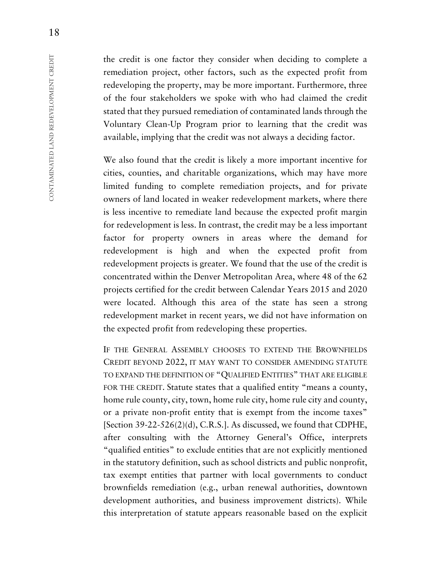the credit is one factor they consider when deciding to complete a remediation project, other factors, such as the expected profit from redeveloping the property, may be more important. Furthermore, three of the four stakeholders we spoke with who had claimed the credit stated that they pursued remediation of contaminated lands through the Voluntary Clean-Up Program prior to learning that the credit was available, implying that the credit was not always a deciding factor.

We also found that the credit is likely a more important incentive for cities, counties, and charitable organizations, which may have more limited funding to complete remediation projects, and for private owners of land located in weaker redevelopment markets, where there is less incentive to remediate land because the expected profit margin for redevelopment is less. In contrast, the credit may be a less important factor for property owners in areas where the demand for redevelopment is high and when the expected profit from redevelopment projects is greater. We found that the use of the credit is concentrated within the Denver Metropolitan Area, where 48 of the 62 projects certified for the credit between Calendar Years 2015 and 2020 were located. Although this area of the state has seen a strong redevelopment market in recent years, we did not have information on the expected profit from redeveloping these properties.

IF THE GENERAL ASSEMBLY CHOOSES TO EXTEND THE BROWNFIELDS CREDIT BEYOND 2022, IT MAY WANT TO CONSIDER AMENDING STATUTE TO EXPAND THE DEFINITION OF "QUALIFIED ENTITIES" THAT ARE ELIGIBLE FOR THE CREDIT. Statute states that a qualified entity "means a county, home rule county, city, town, home rule city, home rule city and county, or a private non-profit entity that is exempt from the income taxes" [Section 39-22-526(2)(d), C.R.S.]. As discussed, we found that CDPHE, after consulting with the Attorney General's Office, interprets "qualified entities" to exclude entities that are not explicitly mentioned in the statutory definition, such as school districts and public nonprofit, tax exempt entities that partner with local governments to conduct brownfields remediation (e.g., urban renewal authorities, downtown development authorities, and business improvement districts). While this interpretation of statute appears reasonable based on the explicit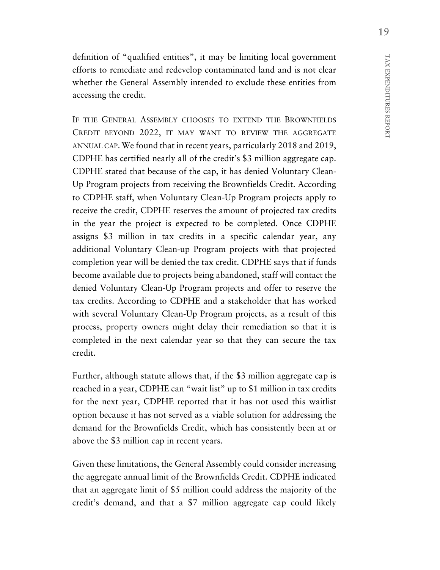definition of "qualified entities", it may be limiting local government efforts to remediate and redevelop contaminated land and is not clear whether the General Assembly intended to exclude these entities from accessing the credit.

IF THE GENERAL ASSEMBLY CHOOSES TO EXTEND THE BROWNFIELDS CREDIT BEYOND 2022, IT MAY WANT TO REVIEW THE AGGREGATE ANNUAL CAP. We found that in recent years, particularly 2018 and 2019, CDPHE has certified nearly all of the credit's \$3 million aggregate cap. CDPHE stated that because of the cap, it has denied Voluntary Clean-Up Program projects from receiving the Brownfields Credit. According to CDPHE staff, when Voluntary Clean-Up Program projects apply to receive the credit, CDPHE reserves the amount of projected tax credits in the year the project is expected to be completed. Once CDPHE assigns \$3 million in tax credits in a specific calendar year, any additional Voluntary Clean-up Program projects with that projected completion year will be denied the tax credit. CDPHE says that if funds become available due to projects being abandoned, staff will contact the denied Voluntary Clean-Up Program projects and offer to reserve the tax credits. According to CDPHE and a stakeholder that has worked with several Voluntary Clean-Up Program projects, as a result of this process, property owners might delay their remediation so that it is completed in the next calendar year so that they can secure the tax credit.

Further, although statute allows that, if the \$3 million aggregate cap is reached in a year, CDPHE can "wait list" up to \$1 million in tax credits for the next year, CDPHE reported that it has not used this waitlist option because it has not served as a viable solution for addressing the demand for the Brownfields Credit, which has consistently been at or above the \$3 million cap in recent years.

Given these limitations, the General Assembly could consider increasing the aggregate annual limit of the Brownfields Credit. CDPHE indicated that an aggregate limit of \$5 million could address the majority of the credit's demand, and that a \$7 million aggregate cap could likely